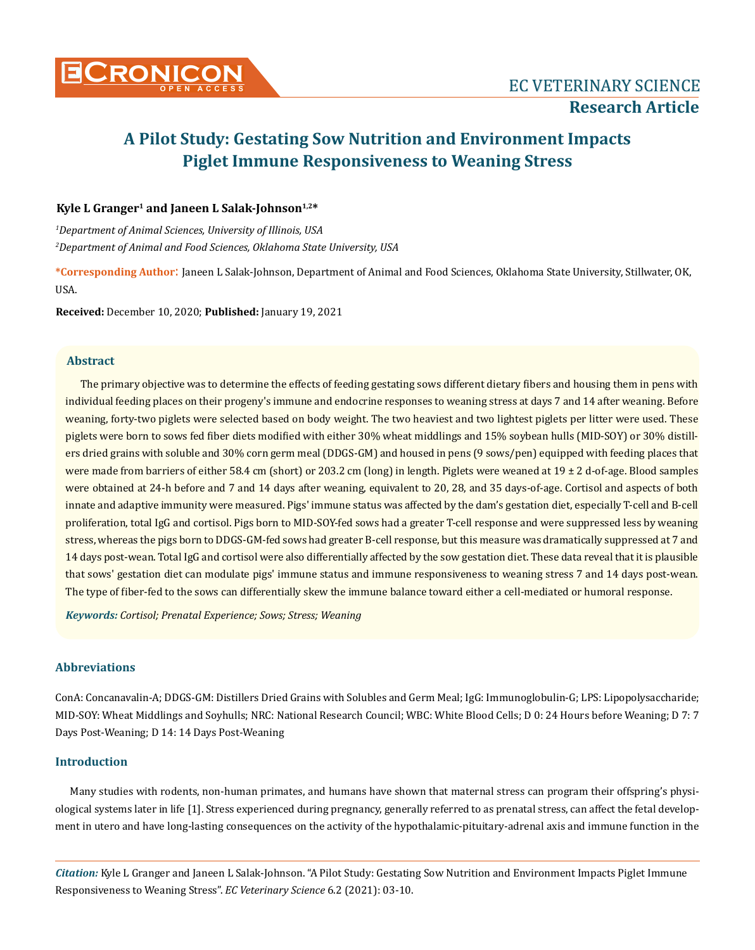

# **A Pilot Study: Gestating Sow Nutrition and Environment Impacts Piglet Immune Responsiveness to Weaning Stress**

# **Kyle L Granger1 and Janeen L Salak-Johnson1,2\***

*1 Department of Animal Sciences, University of Illinois, USA 2 Department of Animal and Food Sciences, Oklahoma State University, USA*

**\*Corresponding Author**: Janeen L Salak-Johnson, Department of Animal and Food Sciences, Oklahoma State University, Stillwater, OK, USA.

**Received:** December 10, 2020; **Published:** January 19, 2021

# **Abstract**

The primary objective was to determine the effects of feeding gestating sows different dietary fibers and housing them in pens with individual feeding places on their progeny's immune and endocrine responses to weaning stress at days 7 and 14 after weaning. Before weaning, forty-two piglets were selected based on body weight. The two heaviest and two lightest piglets per litter were used. These piglets were born to sows fed fiber diets modified with either 30% wheat middlings and 15% soybean hulls (MID-SOY) or 30% distillers dried grains with soluble and 30% corn germ meal (DDGS-GM) and housed in pens (9 sows/pen) equipped with feeding places that were made from barriers of either 58.4 cm (short) or 203.2 cm (long) in length. Piglets were weaned at 19 ± 2 d-of-age. Blood samples were obtained at 24-h before and 7 and 14 days after weaning, equivalent to 20, 28, and 35 days-of-age. Cortisol and aspects of both innate and adaptive immunity were measured. Pigs' immune status was affected by the dam's gestation diet, especially T-cell and B-cell proliferation, total IgG and cortisol. Pigs born to MID-SOY-fed sows had a greater T-cell response and were suppressed less by weaning stress, whereas the pigs born to DDGS-GM-fed sows had greater B-cell response, but this measure was dramatically suppressed at 7 and 14 days post-wean. Total IgG and cortisol were also differentially affected by the sow gestation diet. These data reveal that it is plausible that sows' gestation diet can modulate pigs' immune status and immune responsiveness to weaning stress 7 and 14 days post-wean. The type of fiber-fed to the sows can differentially skew the immune balance toward either a cell-mediated or humoral response.

*Keywords: Cortisol; Prenatal Experience; Sows; Stress; Weaning*

# **Abbreviations**

ConA: Concanavalin-A; DDGS-GM: Distillers Dried Grains with Solubles and Germ Meal; IgG: Immunoglobulin-G; LPS: Lipopolysaccharide; MID-SOY: Wheat Middlings and Soyhulls; NRC: National Research Council; WBC: White Blood Cells; D 0: 24 Hours before Weaning; D 7: 7 Days Post-Weaning; D 14: 14 Days Post-Weaning

## **Introduction**

Many studies with rodents, non-human primates, and humans have shown that maternal stress can program their offspring's physiological systems later in life [1]. Stress experienced during pregnancy, generally referred to as prenatal stress, can affect the fetal development in utero and have long-lasting consequences on the activity of the hypothalamic-pituitary-adrenal axis and immune function in the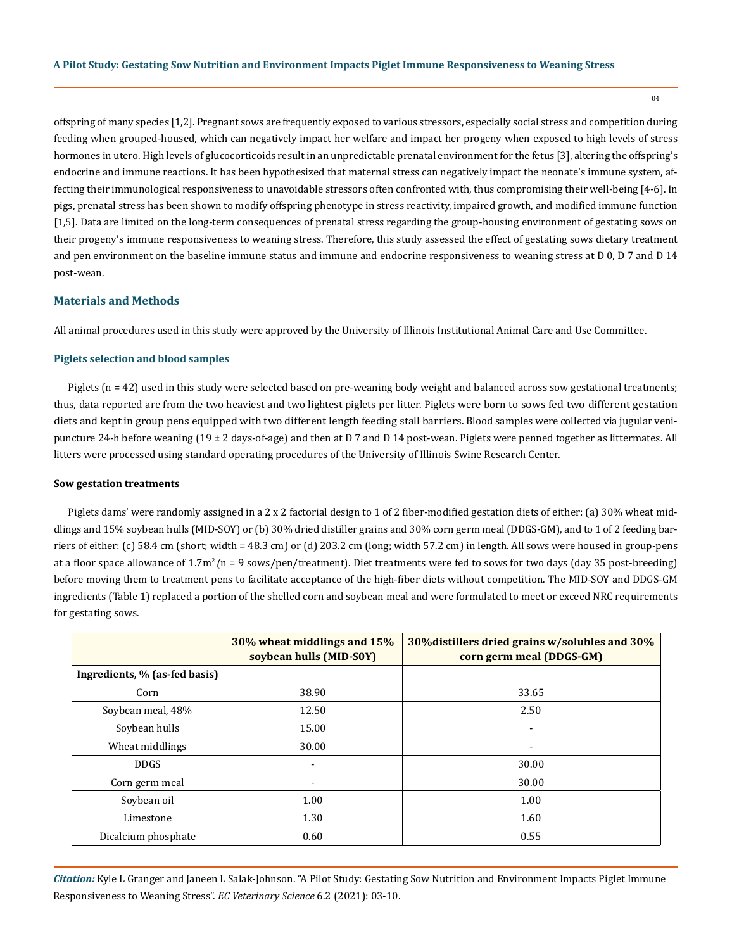offspring of many species [1,2]. Pregnant sows are frequently exposed to various stressors, especially social stress and competition during feeding when grouped-housed, which can negatively impact her welfare and impact her progeny when exposed to high levels of stress hormones in utero. High levels of glucocorticoids result in an unpredictable prenatal environment for the fetus [3], altering the offspring's endocrine and immune reactions. It has been hypothesized that maternal stress can negatively impact the neonate's immune system, affecting their immunological responsiveness to unavoidable stressors often confronted with, thus compromising their well-being [4-6]. In pigs, prenatal stress has been shown to modify offspring phenotype in stress reactivity, impaired growth, and modified immune function [1,5]. Data are limited on the long-term consequences of prenatal stress regarding the group-housing environment of gestating sows on their progeny's immune responsiveness to weaning stress. Therefore, this study assessed the effect of gestating sows dietary treatment and pen environment on the baseline immune status and immune and endocrine responsiveness to weaning stress at D 0, D 7 and D 14 post-wean.

# **Materials and Methods**

All animal procedures used in this study were approved by the University of Illinois Institutional Animal Care and Use Committee.

## **Piglets selection and blood samples**

Piglets (n = 42) used in this study were selected based on pre-weaning body weight and balanced across sow gestational treatments; thus, data reported are from the two heaviest and two lightest piglets per litter. Piglets were born to sows fed two different gestation diets and kept in group pens equipped with two different length feeding stall barriers. Blood samples were collected via jugular venipuncture 24-h before weaning (19 ± 2 days-of-age) and then at D 7 and D 14 post-wean. Piglets were penned together as littermates. All litters were processed using standard operating procedures of the University of Illinois Swine Research Center.

#### **Sow gestation treatments**

Piglets dams' were randomly assigned in a 2 x 2 factorial design to 1 of 2 fiber-modified gestation diets of either: (a) 30% wheat middlings and 15% soybean hulls (MID-SOY) or (b) 30% dried distiller grains and 30% corn germ meal (DDGS-GM), and to 1 of 2 feeding barriers of either: (c) 58.4 cm (short; width = 48.3 cm) or (d) 203.2 cm (long; width 57.2 cm) in length. All sows were housed in group-pens at a floor space allowance of 1.7m<sup>2</sup>*(*n = 9 sows/pen/treatment). Diet treatments were fed to sows for two days (day 35 post-breeding) before moving them to treatment pens to facilitate acceptance of the high-fiber diets without competition. The MID-SOY and DDGS-GM ingredients (Table 1) replaced a portion of the shelled corn and soybean meal and were formulated to meet or exceed NRC requirements for gestating sows.

|                               | 30% wheat middlings and 15%<br>soybean hulls (MID-S0Y) | 30% distillers dried grains w/solubles and 30%<br>corn germ meal (DDGS-GM) |
|-------------------------------|--------------------------------------------------------|----------------------------------------------------------------------------|
| Ingredients, % (as-fed basis) |                                                        |                                                                            |
| Corn                          | 38.90                                                  | 33.65                                                                      |
| Soybean meal, 48%             | 12.50                                                  | 2.50                                                                       |
| Soybean hulls                 | 15.00                                                  | $\overline{\phantom{a}}$                                                   |
| Wheat middlings               | 30.00                                                  | $\overline{\phantom{a}}$                                                   |
| <b>DDGS</b>                   | $\overline{\phantom{a}}$                               | 30.00                                                                      |
| Corn germ meal                | $\overline{\phantom{a}}$                               | 30.00                                                                      |
| Soybean oil                   | 1.00                                                   | 1.00                                                                       |
| Limestone                     | 1.30                                                   | 1.60                                                                       |
| Dicalcium phosphate           | 0.60                                                   | 0.55                                                                       |

*Citation:* Kyle L Granger and Janeen L Salak-Johnson. "A Pilot Study: Gestating Sow Nutrition and Environment Impacts Piglet Immune Responsiveness to Weaning Stress". *EC Veterinary Science* 6.2 (2021): 03-10.

 $04$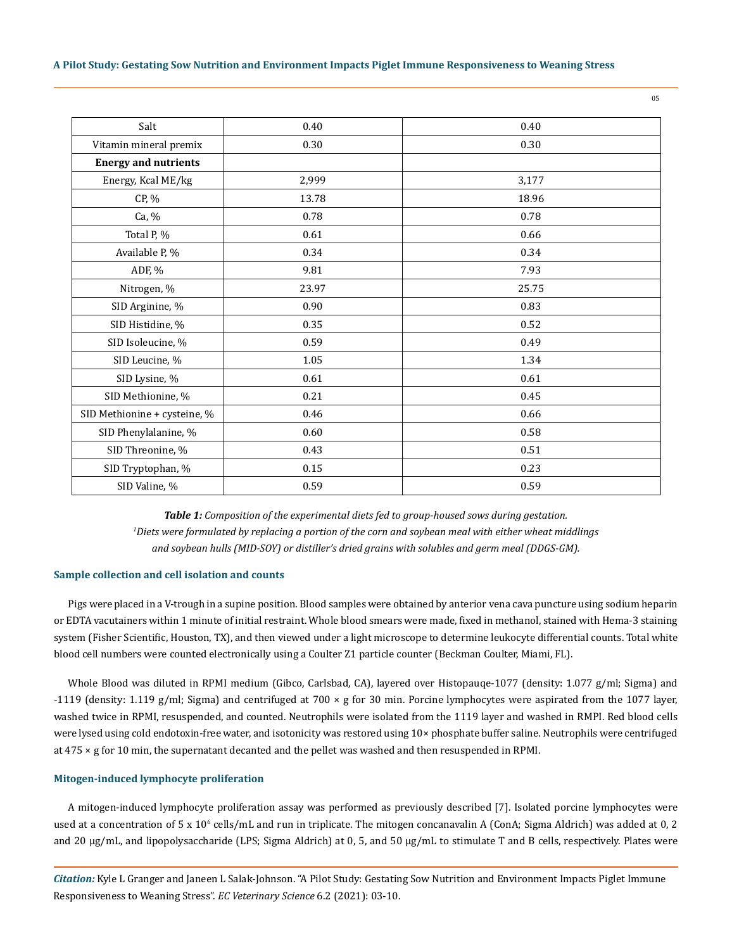## **A Pilot Study: Gestating Sow Nutrition and Environment Impacts Piglet Immune Responsiveness to Weaning Stress**

| Salt                         | 0.40  | 0.40  |
|------------------------------|-------|-------|
| Vitamin mineral premix       | 0.30  | 0.30  |
| <b>Energy and nutrients</b>  |       |       |
| Energy, Kcal ME/kg           | 2,999 | 3,177 |
| CP, %                        | 13.78 | 18.96 |
| Ca, %                        | 0.78  | 0.78  |
| Total P, %                   | 0.61  | 0.66  |
| Available P, %               | 0.34  | 0.34  |
| ADF, %                       | 9.81  | 7.93  |
| Nitrogen, %                  | 23.97 | 25.75 |
| SID Arginine, %              | 0.90  | 0.83  |
| SID Histidine, %             | 0.35  | 0.52  |
| SID Isoleucine, %            | 0.59  | 0.49  |
| SID Leucine, %               | 1.05  | 1.34  |
| SID Lysine, %                | 0.61  | 0.61  |
| SID Methionine, %            | 0.21  | 0.45  |
| SID Methionine + cysteine, % | 0.46  | 0.66  |
| SID Phenylalanine, %         | 0.60  | 0.58  |
| SID Threonine, %             | 0.43  | 0.51  |
| SID Tryptophan, %            | 0.15  | 0.23  |
| SID Valine, %                | 0.59  | 0.59  |
|                              |       |       |

*Table 1: Composition of the experimental diets fed to group-housed sows during gestation. 1 Diets were formulated by replacing a portion of the corn and soybean meal with either wheat middlings and soybean hulls (MID-SOY) or distiller's dried grains with solubles and germ meal (DDGS-GM).*

## **Sample collection and cell isolation and counts**

Pigs were placed in a V-trough in a supine position. Blood samples were obtained by anterior vena cava puncture using sodium heparin or EDTA vacutainers within 1 minute of initial restraint. Whole blood smears were made, fixed in methanol, stained with Hema-3 staining system (Fisher Scientific, Houston, TX), and then viewed under a light microscope to determine leukocyte differential counts. Total white blood cell numbers were counted electronically using a Coulter Z1 particle counter (Beckman Coulter, Miami, FL).

Whole Blood was diluted in RPMI medium (Gibco, Carlsbad, CA), layered over Histopauqe-1077 (density: 1.077 g/ml; Sigma) and -1119 (density: 1.119 g/ml; Sigma) and centrifuged at 700 × g for 30 min. Porcine lymphocytes were aspirated from the 1077 layer, washed twice in RPMI, resuspended, and counted. Neutrophils were isolated from the 1119 layer and washed in RMPI. Red blood cells were lysed using cold endotoxin-free water, and isotonicity was restored using 10× phosphate buffer saline. Neutrophils were centrifuged at 475 × g for 10 min, the supernatant decanted and the pellet was washed and then resuspended in RPMI.

## **Mitogen-induced lymphocyte proliferation**

A mitogen-induced lymphocyte proliferation assay was performed as previously described [7]. Isolated porcine lymphocytes were used at a concentration of 5 x 10° cells/mL and run in triplicate. The mitogen concanavalin A (ConA; Sigma Aldrich) was added at 0, 2 and 20 μg/mL, and lipopolysaccharide (LPS; Sigma Aldrich) at 0, 5, and 50 μg/mL to stimulate T and B cells, respectively. Plates were

*Citation:* Kyle L Granger and Janeen L Salak-Johnson. "A Pilot Study: Gestating Sow Nutrition and Environment Impacts Piglet Immune Responsiveness to Weaning Stress". *EC Veterinary Science* 6.2 (2021): 03-10.

05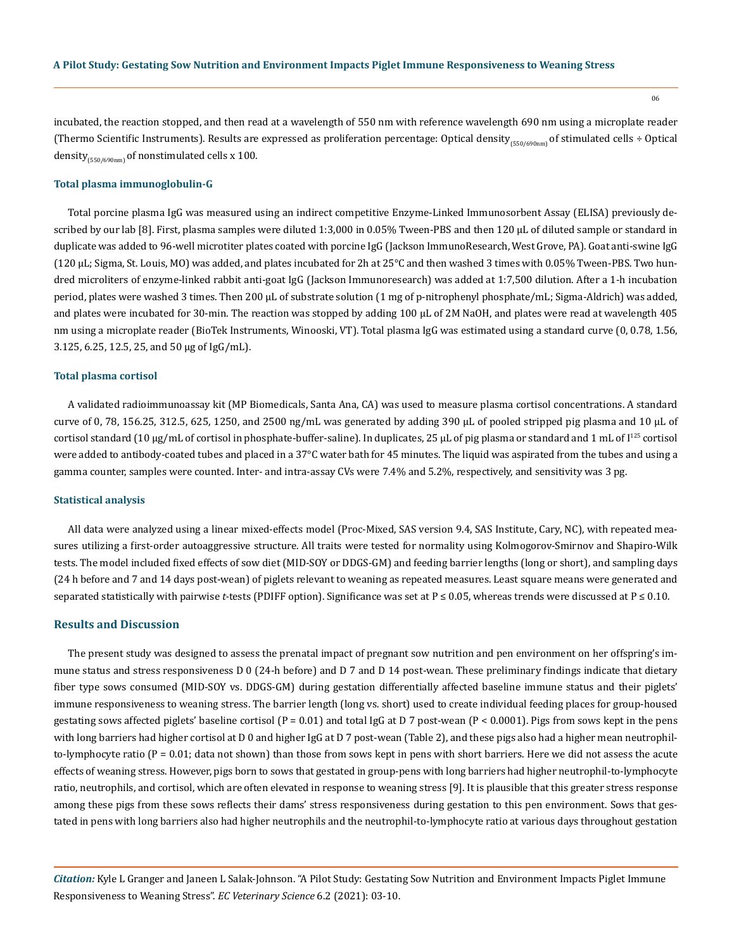06

incubated, the reaction stopped, and then read at a wavelength of 550 nm with reference wavelength 690 nm using a microplate reader (Thermo Scientific Instruments). Results are expressed as proliferation percentage: Optical density<sub>(550/690nm</sub>) of stimulated cells ÷ Optical density<sub>(550/690nm)</sub> of nonstimulated cells x 100.

#### **Total plasma immunoglobulin-G**

Total porcine plasma IgG was measured using an indirect competitive Enzyme-Linked Immunosorbent Assay (ELISA) previously described by our lab [8]. First, plasma samples were diluted 1:3,000 in 0.05% Tween-PBS and then 120 μL of diluted sample or standard in duplicate was added to 96-well microtiter plates coated with porcine IgG (Jackson ImmunoResearch, West Grove, PA). Goat anti-swine IgG (120 μL; Sigma, St. Louis, MO) was added, and plates incubated for 2h at 25°C and then washed 3 times with 0.05% Tween-PBS. Two hundred microliters of enzyme-linked rabbit anti-goat IgG (Jackson Immunoresearch) was added at 1:7,500 dilution. After a 1-h incubation period, plates were washed 3 times. Then 200 μL of substrate solution (1 mg of p-nitrophenyl phosphate/mL; Sigma-Aldrich) was added, and plates were incubated for 30-min. The reaction was stopped by adding 100 μL of 2M NaOH, and plates were read at wavelength 405 nm using a microplate reader (BioTek Instruments, Winooski, VT). Total plasma IgG was estimated using a standard curve (0, 0.78, 1.56, 3.125, 6.25, 12.5, 25, and 50 μg of IgG/mL).

#### **Total plasma cortisol**

A validated radioimmunoassay kit (MP Biomedicals, Santa Ana, CA) was used to measure plasma cortisol concentrations. A standard curve of 0, 78, 156.25, 312.5, 625, 1250, and 2500 ng/mL was generated by adding 390 μL of pooled stripped pig plasma and 10 μL of cortisol standard (10 μg/mL of cortisol in phosphate-buffer-saline). In duplicates, 25 µL of pig plasma or standard and 1 mL of I<sup>125</sup> cortisol were added to antibody-coated tubes and placed in a 37°C water bath for 45 minutes. The liquid was aspirated from the tubes and using a gamma counter, samples were counted. Inter- and intra-assay CVs were 7.4% and 5.2%, respectively, and sensitivity was 3 pg.

## **Statistical analysis**

All data were analyzed using a linear mixed-effects model (Proc-Mixed, SAS version 9.4, SAS Institute, Cary, NC), with repeated measures utilizing a first-order autoaggressive structure. All traits were tested for normality using Kolmogorov-Smirnov and Shapiro-Wilk tests. The model included fixed effects of sow diet (MID-SOY or DDGS-GM) and feeding barrier lengths (long or short), and sampling days (24 h before and 7 and 14 days post-wean) of piglets relevant to weaning as repeated measures. Least square means were generated and separated statistically with pairwise *t*-tests (PDIFF option). Significance was set at P ≤ 0.05, whereas trends were discussed at P ≤ 0.10.

## **Results and Discussion**

The present study was designed to assess the prenatal impact of pregnant sow nutrition and pen environment on her offspring's immune status and stress responsiveness D 0 (24-h before) and D 7 and D 14 post-wean. These preliminary findings indicate that dietary fiber type sows consumed (MID-SOY vs. DDGS-GM) during gestation differentially affected baseline immune status and their piglets' immune responsiveness to weaning stress. The barrier length (long vs. short) used to create individual feeding places for group-housed gestating sows affected piglets' baseline cortisol ( $P = 0.01$ ) and total IgG at D 7 post-wean ( $P < 0.0001$ ). Pigs from sows kept in the pens with long barriers had higher cortisol at D 0 and higher IgG at D 7 post-wean (Table 2), and these pigs also had a higher mean neutrophilto-lymphocyte ratio  $(P = 0.01$ ; data not shown) than those from sows kept in pens with short barriers. Here we did not assess the acute effects of weaning stress. However, pigs born to sows that gestated in group-pens with long barriers had higher neutrophil-to-lymphocyte ratio, neutrophils, and cortisol, which are often elevated in response to weaning stress [9]. It is plausible that this greater stress response among these pigs from these sows reflects their dams' stress responsiveness during gestation to this pen environment. Sows that gestated in pens with long barriers also had higher neutrophils and the neutrophil-to-lymphocyte ratio at various days throughout gestation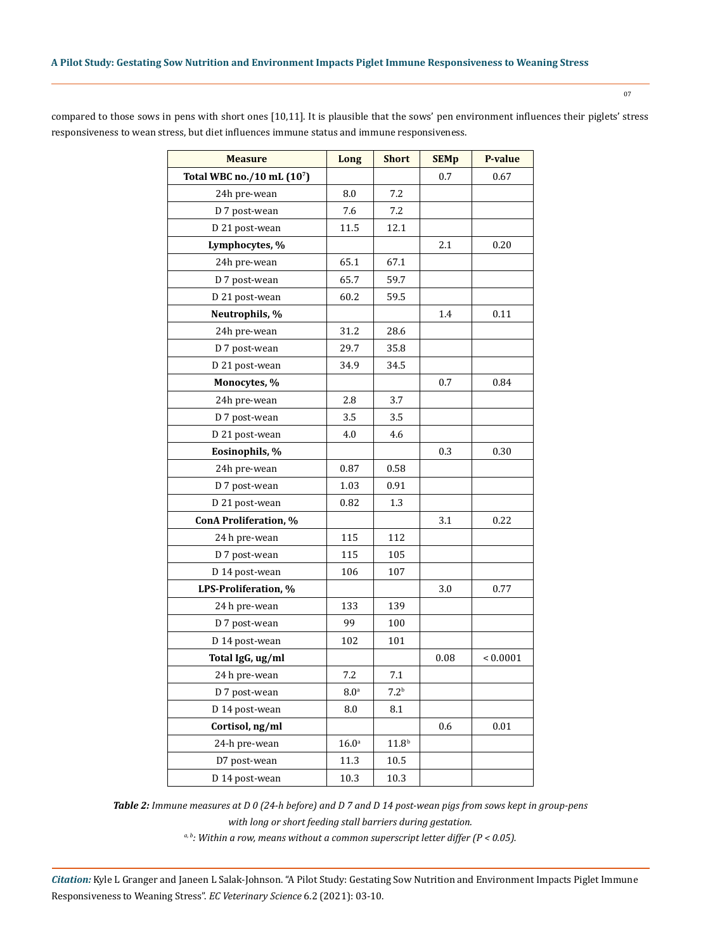| ۰.<br>×<br>۰. | i |  |
|---------------|---|--|
|               |   |  |

| <b>Measure</b>            | Long              | <b>Short</b>      | <b>SEMp</b> | P-value         |
|---------------------------|-------------------|-------------------|-------------|-----------------|
| Total WBC no./10 mL (107) |                   |                   | 0.7         | 0.67            |
| 24h pre-wean              | 8.0               | 7.2               |             |                 |
| D 7 post-wean             | 7.6               | 7.2               |             |                 |
| D 21 post-wean            | 11.5              | 12.1              |             |                 |
| Lymphocytes, %            |                   |                   | 2.1         | 0.20            |
| 24h pre-wean              | 65.1              | 67.1              |             |                 |
| D 7 post-wean             | 65.7              | 59.7              |             |                 |
| D 21 post-wean            | 60.2              | 59.5              |             |                 |
| Neutrophils, %            |                   |                   | 1.4         | 0.11            |
| 24h pre-wean              | 31.2              | 28.6              |             |                 |
| D 7 post-wean             | 29.7              | 35.8              |             |                 |
| D 21 post-wean            | 34.9              | 34.5              |             |                 |
| Monocytes, %              |                   |                   | 0.7         | 0.84            |
| 24h pre-wean              | 2.8               | 3.7               |             |                 |
| D 7 post-wean             | 3.5               | 3.5               |             |                 |
| D 21 post-wean            | 4.0               | 4.6               |             |                 |
| Eosinophils, %            |                   |                   | 0.3         | 0.30            |
| 24h pre-wean              | 0.87              | 0.58              |             |                 |
| D 7 post-wean             | 1.03              | 0.91              |             |                 |
| D 21 post-wean            | 0.82              | 1.3               |             |                 |
| ConA Proliferation, %     |                   |                   | 3.1         | 0.22            |
| 24 h pre-wean             | 115               | 112               |             |                 |
| D 7 post-wean             | 115               | 105               |             |                 |
| D 14 post-wean            | 106               | 107               |             |                 |
| LPS-Proliferation, %      |                   |                   | 3.0         | 0.77            |
| 24 h pre-wean             | 133               | 139               |             |                 |
| D 7 post-wean             | 99                | 100               |             |                 |
| D 14 post-wean            | 102               | 101               |             |                 |
| Total IgG, ug/ml          |                   |                   | 0.08        | ${}_{< 0.0001}$ |
| 24 h pre-wean             | 7.2               | 7.1               |             |                 |
| D 7 post-wean             | 8.0 <sup>a</sup>  | 7.2 <sup>b</sup>  |             |                 |
| D 14 post-wean            | 8.0               | $\ \, 8.1$        |             |                 |
| Cortisol, ng/ml           |                   |                   | 0.6         | 0.01            |
| 24-h pre-wean             | 16.0 <sup>a</sup> | 11.8 <sup>b</sup> |             |                 |
| D7 post-wean              | 11.3              | 10.5              |             |                 |
| D 14 post-wean            | 10.3              | 10.3              |             |                 |

compared to those sows in pens with short ones [10,11]. It is plausible that the sows' pen environment influences their piglets' stress responsiveness to wean stress, but diet influences immune status and immune responsiveness.

> *Table 2: Immune measures at D 0 (24-h before) and D 7 and D 14 post-wean pigs from sows kept in group-pens with long or short feeding stall barriers during gestation.*

> > *a, b: Within a row, means without a common superscript letter differ (P < 0.05).*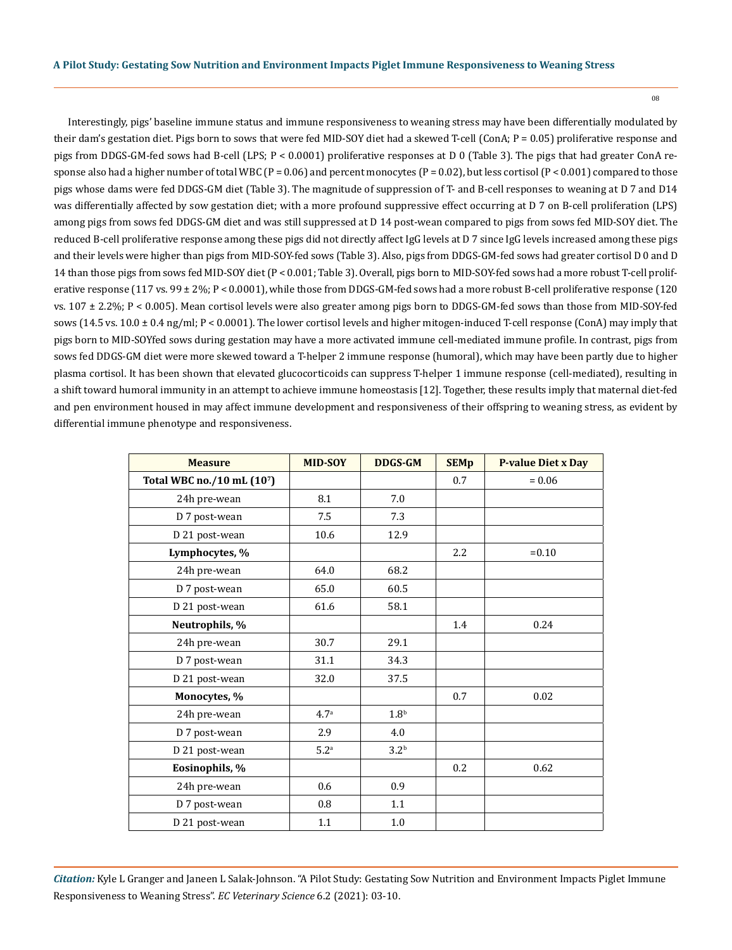08

Interestingly, pigs' baseline immune status and immune responsiveness to weaning stress may have been differentially modulated by their dam's gestation diet. Pigs born to sows that were fed MID-SOY diet had a skewed T-cell (ConA; P = 0.05) proliferative response and pigs from DDGS-GM-fed sows had B-cell (LPS; P < 0.0001) proliferative responses at D 0 (Table 3). The pigs that had greater ConA response also had a higher number of total WBC ( $P = 0.06$ ) and percent monocytes ( $P = 0.02$ ), but less cortisol ( $P < 0.001$ ) compared to those pigs whose dams were fed DDGS-GM diet (Table 3). The magnitude of suppression of T- and B-cell responses to weaning at D 7 and D14 was differentially affected by sow gestation diet; with a more profound suppressive effect occurring at D 7 on B-cell proliferation (LPS) among pigs from sows fed DDGS-GM diet and was still suppressed at D 14 post-wean compared to pigs from sows fed MID-SOY diet. The reduced B-cell proliferative response among these pigs did not directly affect IgG levels at D 7 since IgG levels increased among these pigs and their levels were higher than pigs from MID-SOY-fed sows (Table 3). Also, pigs from DDGS-GM-fed sows had greater cortisol D 0 and D 14 than those pigs from sows fed MID-SOY diet (P < 0.001; Table 3). Overall, pigs born to MID-SOY-fed sows had a more robust T-cell proliferative response  $(117 \text{ vs. } 99 \pm 2\%; P < 0.0001)$ , while those from DDGS-GM-fed sows had a more robust B-cell proliferative response  $(120 \text{ m})$ vs. 107 ± 2.2%; P < 0.005). Mean cortisol levels were also greater among pigs born to DDGS-GM-fed sows than those from MID-SOY-fed sows (14.5 vs.  $10.0 \pm 0.4$  ng/ml; P < 0.0001). The lower cortisol levels and higher mitogen-induced T-cell response (ConA) may imply that pigs born to MID-SOYfed sows during gestation may have a more activated immune cell-mediated immune profile. In contrast, pigs from sows fed DDGS-GM diet were more skewed toward a T-helper 2 immune response (humoral), which may have been partly due to higher plasma cortisol. It has been shown that elevated glucocorticoids can suppress T-helper 1 immune response (cell-mediated), resulting in a shift toward humoral immunity in an attempt to achieve immune homeostasis [12]. Together, these results imply that maternal diet-fed and pen environment housed in may affect immune development and responsiveness of their offspring to weaning stress, as evident by differential immune phenotype and responsiveness.

| <b>Measure</b>            | <b>MID-SOY</b>   | <b>DDGS-GM</b>   | <b>SEMp</b> | <b>P-value Diet x Day</b> |
|---------------------------|------------------|------------------|-------------|---------------------------|
| Total WBC no./10 mL (107) |                  |                  | 0.7         | $= 0.06$                  |
| 24h pre-wean              | 8.1              | 7.0              |             |                           |
| D 7 post-wean             | 7.5              | 7.3              |             |                           |
| D 21 post-wean            | 10.6             | 12.9             |             |                           |
| Lymphocytes, %            |                  |                  | 2.2         | $= 0.10$                  |
| 24h pre-wean              | 64.0             | 68.2             |             |                           |
| D 7 post-wean             | 65.0             | 60.5             |             |                           |
| D 21 post-wean            | 61.6             | 58.1             |             |                           |
| Neutrophils, %            |                  |                  | 1.4         | 0.24                      |
| 24h pre-wean              | 30.7             | 29.1             |             |                           |
| D 7 post-wean             | 31.1             | 34.3             |             |                           |
| D 21 post-wean            | 32.0             | 37.5             |             |                           |
| Monocytes, %              |                  |                  | 0.7         | 0.02                      |
| 24h pre-wean              | 4.7 <sup>a</sup> | 1.8 <sup>b</sup> |             |                           |
| D 7 post-wean             | 2.9              | 4.0              |             |                           |
| D 21 post-wean            | 5.2 <sup>a</sup> | 3.2 <sup>b</sup> |             |                           |
| Eosinophils, %            |                  |                  | 0.2         | 0.62                      |
| 24h pre-wean              | 0.6              | 0.9              |             |                           |
| D 7 post-wean             | 0.8              | $1.1\,$          |             |                           |
| D 21 post-wean            | 1.1              | 1.0              |             |                           |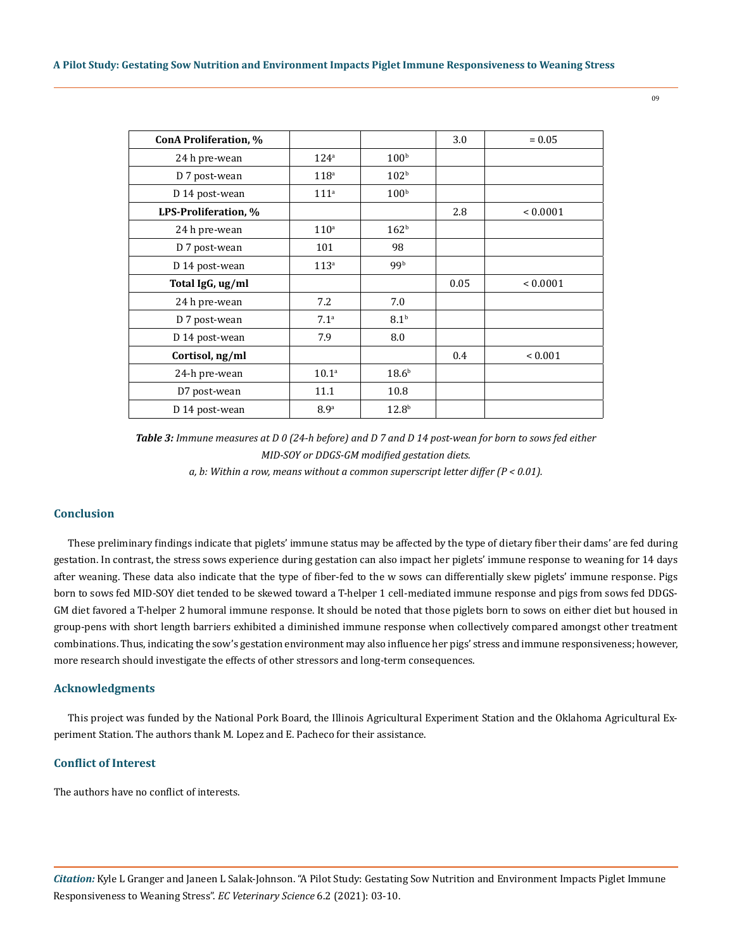| ConA Proliferation, % |                   |                   | 3.0  | $= 0.05$     |
|-----------------------|-------------------|-------------------|------|--------------|
| 24 h pre-wean         | 124 <sup>a</sup>  | 100 <sup>b</sup>  |      |              |
| D 7 post-wean         | 118 <sup>a</sup>  | 102 <sup>b</sup>  |      |              |
| D 14 post-wean        | 111 <sup>a</sup>  | 100 <sup>b</sup>  |      |              |
| LPS-Proliferation, %  |                   |                   | 2.8  | ${}< 0.0001$ |
| 24 h pre-wean         | 110 <sup>a</sup>  | 162 <sup>b</sup>  |      |              |
| D 7 post-wean         | 101               | 98                |      |              |
| D 14 post-wean        | 113 <sup>a</sup>  | 99b               |      |              |
| Total IgG, ug/ml      |                   |                   | 0.05 | ${}< 0.0001$ |
| 24 h pre-wean         | 7.2               | 7.0               |      |              |
| D 7 post-wean         | 7.1 <sup>a</sup>  | 8.1 <sup>b</sup>  |      |              |
| D 14 post-wean        | 7.9               | 8.0               |      |              |
| Cortisol, ng/ml       |                   |                   | 0.4  | ${}_{0.001}$ |
| 24-h pre-wean         | 10.1 <sup>a</sup> | 18.6 <sup>b</sup> |      |              |
| D7 post-wean          | 11.1              | 10.8              |      |              |
| D 14 post-wean        | 8.9 <sup>a</sup>  | 12.8 <sup>b</sup> |      |              |

*Table 3: Immune measures at D 0 (24-h before) and D 7 and D 14 post-wean for born to sows fed either MID-SOY or DDGS-GM modified gestation diets.* 

*a, b: Within a row, means without a common superscript letter differ (P < 0.01).*

# **Conclusion**

These preliminary findings indicate that piglets' immune status may be affected by the type of dietary fiber their dams' are fed during gestation. In contrast, the stress sows experience during gestation can also impact her piglets' immune response to weaning for 14 days after weaning. These data also indicate that the type of fiber-fed to the w sows can differentially skew piglets' immune response. Pigs born to sows fed MID-SOY diet tended to be skewed toward a T-helper 1 cell-mediated immune response and pigs from sows fed DDGS-GM diet favored a T-helper 2 humoral immune response. It should be noted that those piglets born to sows on either diet but housed in group-pens with short length barriers exhibited a diminished immune response when collectively compared amongst other treatment combinations. Thus, indicating the sow's gestation environment may also influence her pigs' stress and immune responsiveness; however, more research should investigate the effects of other stressors and long-term consequences.

# **Acknowledgments**

This project was funded by the National Pork Board, the Illinois Agricultural Experiment Station and the Oklahoma Agricultural Experiment Station. The authors thank M. Lopez and E. Pacheco for their assistance.

# **Conflict of Interest**

The authors have no conflict of interests.

*Citation:* Kyle L Granger and Janeen L Salak-Johnson. "A Pilot Study: Gestating Sow Nutrition and Environment Impacts Piglet Immune Responsiveness to Weaning Stress". *EC Veterinary Science* 6.2 (2021): 03-10.

09